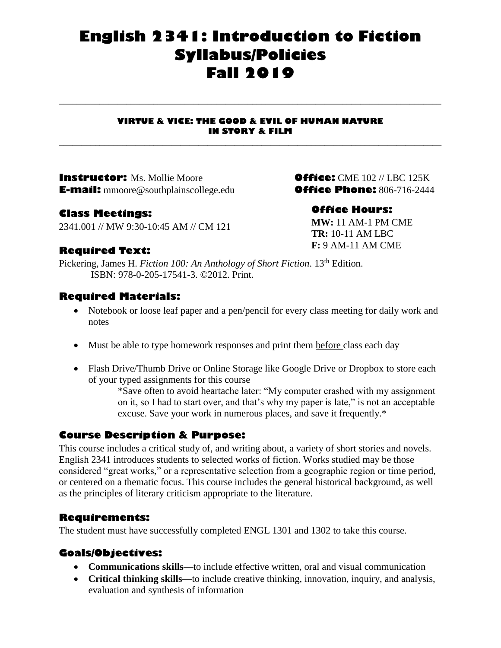# **English 2341: Introduction to Fiction Syllabus/Policies Fall 2019**

#### **VIRTUE & VICE: THE GOOD & EVIL OF HUMAN NATURE IN STORY & FILM**

**\_\_\_\_\_\_\_\_\_\_\_\_\_\_\_\_\_\_\_\_\_\_\_\_\_\_\_\_\_\_\_\_\_\_\_\_\_\_\_\_\_\_\_\_\_\_\_\_\_\_\_\_\_\_\_\_\_\_\_\_\_\_\_\_\_\_\_\_\_\_\_\_\_\_\_\_\_\_\_\_\_\_\_\_\_**

**\_\_\_\_\_\_\_\_\_\_\_\_\_\_\_\_\_\_\_\_\_\_\_\_\_\_\_\_\_\_\_\_\_\_\_\_\_\_\_\_\_\_\_\_\_\_\_\_\_\_\_\_\_\_\_\_\_\_\_\_\_\_\_\_\_\_\_\_\_\_\_\_\_\_\_\_\_\_\_\_\_\_\_\_\_**

**Instructor:** Ms. Mollie Moore**Office:** CME 102 // LBC 125K **E-mail:** mmoore@southplainscollege.edu**Office Phone:** 806-716-2444

### **Class Meetings:**

2341.001 // MW 9:30-10:45 AM // CM 121

### **Office Hours:**

**MW:** 11 AM-1 PM CME **TR:** 10-11 AM LBC **F:** 9 AM-11 AM CME

# **Required Text:**

Pickering, James H. *Fiction 100: An Anthology of Short Fiction*. 13<sup>th</sup> Edition. ISBN: 978-0-205-17541-3. ©2012. Print.

### **Required Materials:**

- Notebook or loose leaf paper and a pen/pencil for every class meeting for daily work and notes
- Must be able to type homework responses and print them before class each day
- Flash Drive/Thumb Drive or Online Storage like Google Drive or Dropbox to store each of your typed assignments for this course

\*Save often to avoid heartache later: "My computer crashed with my assignment on it, so I had to start over, and that's why my paper is late," is not an acceptable excuse. Save your work in numerous places, and save it frequently.\*

### **Course Description & Purpose:**

This course includes a critical study of, and writing about, a variety of short stories and novels. English 2341 introduces students to selected works of fiction. Works studied may be those considered "great works," or a representative selection from a geographic region or time period, or centered on a thematic focus. This course includes the general historical background, as well as the principles of literary criticism appropriate to the literature.

### **Requirements:**

The student must have successfully completed ENGL 1301 and 1302 to take this course.

### **Goals/Objectives:**

- **Communications skills**—to include effective written, oral and visual communication
- **Critical thinking skills**—to include creative thinking, innovation, inquiry, and analysis, evaluation and synthesis of information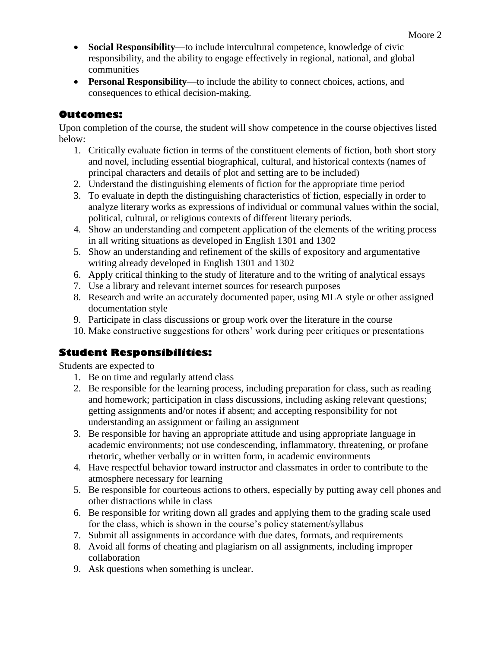- **Social Responsibility**—to include intercultural competence, knowledge of civic responsibility, and the ability to engage effectively in regional, national, and global communities
- **Personal Responsibility**—to include the ability to connect choices, actions, and consequences to ethical decision-making.

# **Outcomes:**

Upon completion of the course, the student will show competence in the course objectives listed below:

- 1. Critically evaluate fiction in terms of the constituent elements of fiction, both short story and novel, including essential biographical, cultural, and historical contexts (names of principal characters and details of plot and setting are to be included)
- 2. Understand the distinguishing elements of fiction for the appropriate time period
- 3. To evaluate in depth the distinguishing characteristics of fiction, especially in order to analyze literary works as expressions of individual or communal values within the social, political, cultural, or religious contexts of different literary periods.
- 4. Show an understanding and competent application of the elements of the writing process in all writing situations as developed in English 1301 and 1302
- 5. Show an understanding and refinement of the skills of expository and argumentative writing already developed in English 1301 and 1302
- 6. Apply critical thinking to the study of literature and to the writing of analytical essays
- 7. Use a library and relevant internet sources for research purposes
- 8. Research and write an accurately documented paper, using MLA style or other assigned documentation style
- 9. Participate in class discussions or group work over the literature in the course
- 10. Make constructive suggestions for others' work during peer critiques or presentations

# **Student Responsibilities:**

Students are expected to

- 1. Be on time and regularly attend class
- 2. Be responsible for the learning process, including preparation for class, such as reading and homework; participation in class discussions, including asking relevant questions; getting assignments and/or notes if absent; and accepting responsibility for not understanding an assignment or failing an assignment
- 3. Be responsible for having an appropriate attitude and using appropriate language in academic environments; not use condescending, inflammatory, threatening, or profane rhetoric, whether verbally or in written form, in academic environments
- 4. Have respectful behavior toward instructor and classmates in order to contribute to the atmosphere necessary for learning
- 5. Be responsible for courteous actions to others, especially by putting away cell phones and other distractions while in class
- 6. Be responsible for writing down all grades and applying them to the grading scale used for the class, which is shown in the course's policy statement/syllabus
- 7. Submit all assignments in accordance with due dates, formats, and requirements
- 8. Avoid all forms of cheating and plagiarism on all assignments, including improper collaboration
- 9. Ask questions when something is unclear.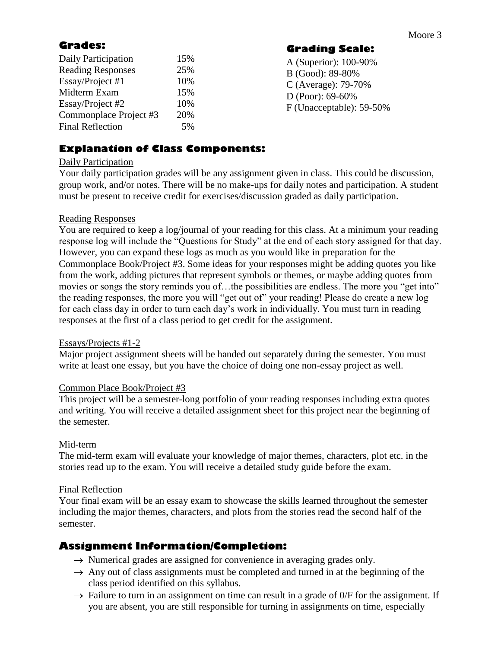# **Grades:**

| Daily Participation      | 15% |
|--------------------------|-----|
| <b>Reading Responses</b> | 25% |
| Essay/Project #1         | 10% |
| Midterm Exam             | 15% |
| Essay/Project #2         | 10% |
| Commonplace Project #3   | 20% |
| <b>Final Reflection</b>  | 5%  |
|                          |     |

**Grading Scale:**

A (Superior): 100-90% B (Good): 89-80% C (Average): 79-70% D (Poor): 69-60% F (Unacceptable): 59-50%

# **Explanation of Class Components:**

### Daily Participation

Your daily participation grades will be any assignment given in class. This could be discussion, group work, and/or notes. There will be no make-ups for daily notes and participation. A student must be present to receive credit for exercises/discussion graded as daily participation.

### Reading Responses

You are required to keep a log/journal of your reading for this class. At a minimum your reading response log will include the "Questions for Study" at the end of each story assigned for that day. However, you can expand these logs as much as you would like in preparation for the Commonplace Book/Project #3. Some ideas for your responses might be adding quotes you like from the work, adding pictures that represent symbols or themes, or maybe adding quotes from movies or songs the story reminds you of…the possibilities are endless. The more you "get into" the reading responses, the more you will "get out of" your reading! Please do create a new log for each class day in order to turn each day's work in individually. You must turn in reading responses at the first of a class period to get credit for the assignment.

### Essays/Projects #1-2

Major project assignment sheets will be handed out separately during the semester. You must write at least one essay, but you have the choice of doing one non-essay project as well.

### Common Place Book/Project #3

This project will be a semester-long portfolio of your reading responses including extra quotes and writing. You will receive a detailed assignment sheet for this project near the beginning of the semester.

### Mid-term

The mid-term exam will evaluate your knowledge of major themes, characters, plot etc. in the stories read up to the exam. You will receive a detailed study guide before the exam.

### Final Reflection

Your final exam will be an essay exam to showcase the skills learned throughout the semester including the major themes, characters, and plots from the stories read the second half of the semester.

# **Assignment Information/Completion:**

- $\rightarrow$  Numerical grades are assigned for convenience in averaging grades only.
- $\rightarrow$  Any out of class assignments must be completed and turned in at the beginning of the class period identified on this syllabus.
- $\rightarrow$  Failure to turn in an assignment on time can result in a grade of 0/F for the assignment. If you are absent, you are still responsible for turning in assignments on time, especially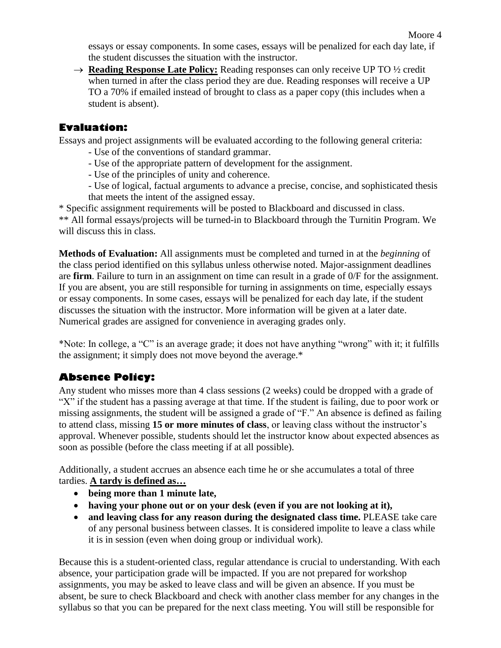essays or essay components. In some cases, essays will be penalized for each day late, if the student discusses the situation with the instructor.

→ **Reading Response Late Policy:** Reading responses can only receive UP TO ½ credit when turned in after the class period they are due. Reading responses will receive a UP TO a 70% if emailed instead of brought to class as a paper copy (this includes when a student is absent).

# **Evaluation:**

Essays and project assignments will be evaluated according to the following general criteria:

- Use of the conventions of standard grammar.
- Use of the appropriate pattern of development for the assignment.
- Use of the principles of unity and coherence.
- Use of logical, factual arguments to advance a precise, concise, and sophisticated thesis that meets the intent of the assigned essay.

\* Specific assignment requirements will be posted to Blackboard and discussed in class. \*\* All formal essays/projects will be turned-in to Blackboard through the Turnitin Program. We will discuss this in class.

**Methods of Evaluation:** All assignments must be completed and turned in at the *beginning* of the class period identified on this syllabus unless otherwise noted. Major-assignment deadlines are **firm**. Failure to turn in an assignment on time can result in a grade of 0/F for the assignment. If you are absent, you are still responsible for turning in assignments on time, especially essays or essay components. In some cases, essays will be penalized for each day late, if the student discusses the situation with the instructor. More information will be given at a later date. Numerical grades are assigned for convenience in averaging grades only.

\*Note: In college, a "C" is an average grade; it does not have anything "wrong" with it; it fulfills the assignment; it simply does not move beyond the average.\*

# **Absence Policy:**

Any student who misses more than 4 class sessions (2 weeks) could be dropped with a grade of "X" if the student has a passing average at that time. If the student is failing, due to poor work or missing assignments, the student will be assigned a grade of "F." An absence is defined as failing to attend class, missing **15 or more minutes of class**, or leaving class without the instructor's approval. Whenever possible, students should let the instructor know about expected absences as soon as possible (before the class meeting if at all possible).

Additionally, a student accrues an absence each time he or she accumulates a total of three tardies. **A tardy is defined as…**

- **being more than 1 minute late,**
- **having your phone out or on your desk (even if you are not looking at it),**
- **and leaving class for any reason during the designated class time.** PLEASE take care of any personal business between classes. It is considered impolite to leave a class while it is in session (even when doing group or individual work).

Because this is a student-oriented class, regular attendance is crucial to understanding. With each absence, your participation grade will be impacted. If you are not prepared for workshop assignments, you may be asked to leave class and will be given an absence. If you must be absent, be sure to check Blackboard and check with another class member for any changes in the syllabus so that you can be prepared for the next class meeting. You will still be responsible for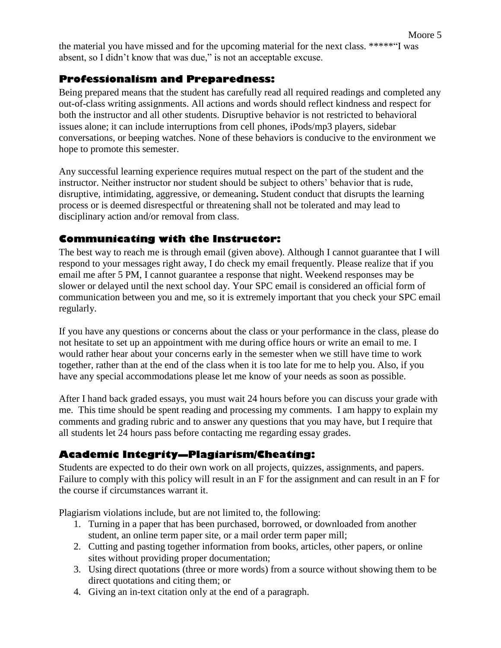# **Professionalism and Preparedness:**

Being prepared means that the student has carefully read all required readings and completed any out-of-class writing assignments. All actions and words should reflect kindness and respect for both the instructor and all other students. Disruptive behavior is not restricted to behavioral issues alone; it can include interruptions from cell phones, iPods/mp3 players, sidebar conversations, or beeping watches. None of these behaviors is conducive to the environment we hope to promote this semester.

Any successful learning experience requires mutual respect on the part of the student and the instructor. Neither instructor nor student should be subject to others' behavior that is rude, disruptive, intimidating, aggressive, or demeaning**.** Student conduct that disrupts the learning process or is deemed disrespectful or threatening shall not be tolerated and may lead to disciplinary action and/or removal from class.

# **Communicating with the Instructor:**

The best way to reach me is through email (given above). Although I cannot guarantee that I will respond to your messages right away, I do check my email frequently. Please realize that if you email me after 5 PM, I cannot guarantee a response that night. Weekend responses may be slower or delayed until the next school day. Your SPC email is considered an official form of communication between you and me, so it is extremely important that you check your SPC email regularly.

If you have any questions or concerns about the class or your performance in the class, please do not hesitate to set up an appointment with me during office hours or write an email to me. I would rather hear about your concerns early in the semester when we still have time to work together, rather than at the end of the class when it is too late for me to help you. Also, if you have any special accommodations please let me know of your needs as soon as possible.

After I hand back graded essays, you must wait 24 hours before you can discuss your grade with me. This time should be spent reading and processing my comments. I am happy to explain my comments and grading rubric and to answer any questions that you may have, but I require that all students let 24 hours pass before contacting me regarding essay grades.

# **Academic Integrity—Plagiarism/Cheating:**

Students are expected to do their own work on all projects, quizzes, assignments, and papers. Failure to comply with this policy will result in an F for the assignment and can result in an F for the course if circumstances warrant it.

Plagiarism violations include, but are not limited to, the following:

- 1. Turning in a paper that has been purchased, borrowed, or downloaded from another student, an online term paper site, or a mail order term paper mill;
- 2. Cutting and pasting together information from books, articles, other papers, or online sites without providing proper documentation;
- 3. Using direct quotations (three or more words) from a source without showing them to be direct quotations and citing them; or
- 4. Giving an in-text citation only at the end of a paragraph.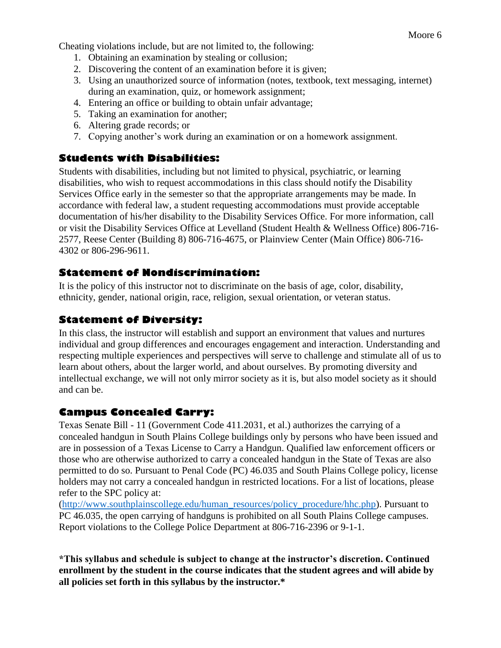Cheating violations include, but are not limited to, the following:

- 1. Obtaining an examination by stealing or collusion;
- 2. Discovering the content of an examination before it is given;
- 3. Using an unauthorized source of information (notes, textbook, text messaging, internet) during an examination, quiz, or homework assignment;
- 4. Entering an office or building to obtain unfair advantage;
- 5. Taking an examination for another;
- 6. Altering grade records; or
- 7. Copying another's work during an examination or on a homework assignment.

# **Students with Disabilities:**

Students with disabilities, including but not limited to physical, psychiatric, or learning disabilities, who wish to request accommodations in this class should notify the Disability Services Office early in the semester so that the appropriate arrangements may be made. In accordance with federal law, a student requesting accommodations must provide acceptable documentation of his/her disability to the Disability Services Office. For more information, call or visit the Disability Services Office at Levelland (Student Health & Wellness Office) 806-716- 2577, Reese Center (Building 8) 806-716-4675, or Plainview Center (Main Office) 806-716- 4302 or 806-296-9611.

# **Statement of Nondiscrimination:**

It is the policy of this instructor not to discriminate on the basis of age, color, disability, ethnicity, gender, national origin, race, religion, sexual orientation, or veteran status.

# **Statement of Diversity:**

In this class, the instructor will establish and support an environment that values and nurtures individual and group differences and encourages engagement and interaction. Understanding and respecting multiple experiences and perspectives will serve to challenge and stimulate all of us to learn about others, about the larger world, and about ourselves. By promoting diversity and intellectual exchange, we will not only mirror society as it is, but also model society as it should and can be.

# **Campus Concealed Carry:**

Texas Senate Bill - 11 (Government Code 411.2031, et al.) authorizes the carrying of a concealed handgun in South Plains College buildings only by persons who have been issued and are in possession of a Texas License to Carry a Handgun. Qualified law enforcement officers or those who are otherwise authorized to carry a concealed handgun in the State of Texas are also permitted to do so. Pursuant to Penal Code (PC) 46.035 and South Plains College policy, license holders may not carry a concealed handgun in restricted locations. For a list of locations, please refer to the SPC policy at:

[\(http://www.southplainscollege.edu/human\\_resources/policy\\_procedure/hhc.php\)](http://www.southplainscollege.edu/human_resources/policy_procedure/hhc.php). Pursuant to PC 46.035, the open carrying of handguns is prohibited on all South Plains College campuses. Report violations to the College Police Department at 806-716-2396 or 9-1-1.

**\*This syllabus and schedule is subject to change at the instructor's discretion. Continued enrollment by the student in the course indicates that the student agrees and will abide by all policies set forth in this syllabus by the instructor.\***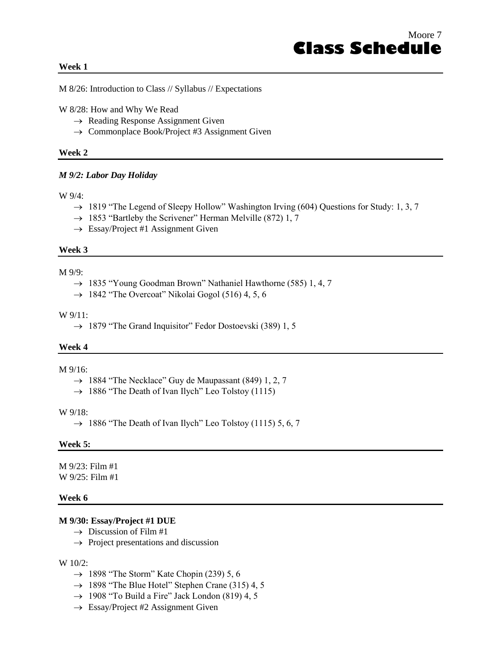#### **Week 1**

M 8/26: Introduction to Class // Syllabus // Expectations

W 8/28: How and Why We Read

- $\rightarrow$  Reading Response Assignment Given
- $\rightarrow$  Commonplace Book/Project #3 Assignment Given

#### **Week 2**

#### *M 9/2: Labor Day Holiday*

#### W 9/4:

- $\rightarrow$  1819 "The Legend of Sleepy Hollow" Washington Irving (604) Questions for Study: 1, 3, 7
- $\rightarrow$  1853 "Bartleby the Scrivener" Herman Melville (872) 1, 7
- $\rightarrow$  Essay/Project #1 Assignment Given

#### **Week 3**

#### M 9/9:

- $\rightarrow$  1835 "Young Goodman Brown" Nathaniel Hawthorne (585) 1, 4, 7
- $\rightarrow$  1842 "The Overcoat" Nikolai Gogol (516) 4, 5, 6

#### W 9/11:

 $\rightarrow$  1879 "The Grand Inquisitor" Fedor Dostoevski (389) 1, 5

#### **Week 4**

#### M 9/16:

- $\rightarrow$  1884 "The Necklace" Guy de Maupassant (849) 1, 2, 7
- $\rightarrow$  1886 "The Death of Ivan Ilych" Leo Tolstoy (1115)

#### W 9/18:

 $\rightarrow$  1886 "The Death of Ivan Ilych" Leo Tolstoy (1115) 5, 6, 7

#### **Week 5:**

M 9/23: Film #1 W 9/25: Film #1

#### **Week 6**

#### **M 9/30: Essay/Project #1 DUE**

- $\rightarrow$  Discussion of Film #1
- $\rightarrow$  Project presentations and discussion

#### W 10/2:

- $\rightarrow$  1898 "The Storm" Kate Chopin (239) 5, 6
- $\rightarrow$  1898 "The Blue Hotel" Stephen Crane (315) 4, 5
- $\rightarrow$  1908 "To Build a Fire" Jack London (819) 4, 5
- $\rightarrow$  Essay/Project #2 Assignment Given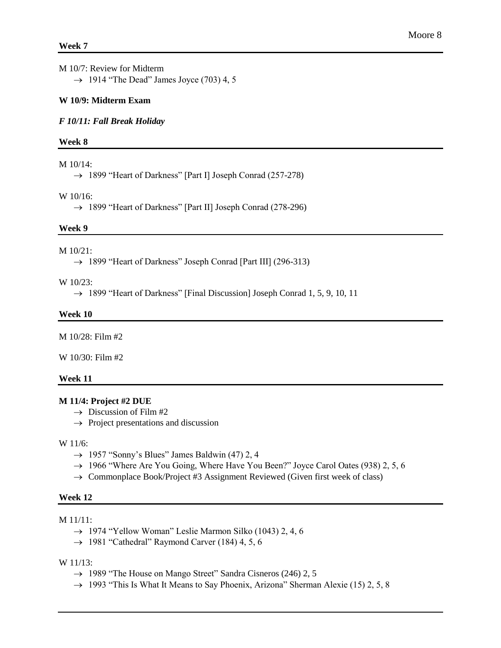M 10/7: Review for Midterm  $\rightarrow$  1914 "The Dead" James Joyce (703) 4, 5

#### **W 10/9: Midterm Exam**

*F 10/11: Fall Break Holiday*

#### **Week 8**

M 10/14:

→ 1899 "Heart of Darkness" [Part I] Joseph Conrad (257-278)

#### W 10/16:

→ 1899 "Heart of Darkness" [Part II] Joseph Conrad (278-296)

#### **Week 9**

#### M 10/21:

 $\rightarrow$  1899 "Heart of Darkness" Joseph Conrad [Part III] (296-313)

#### W 10/23:

 $\rightarrow$  1899 "Heart of Darkness" [Final Discussion] Joseph Conrad 1, 5, 9, 10, 11

#### **Week 10**

M 10/28: Film #2

 $W 10/30$  Film #2

#### **Week 11**

#### **M 11/4: Project #2 DUE**

- $\rightarrow$  Discussion of Film #2
- $\rightarrow$  Project presentations and discussion

#### W 11/6:

- $\rightarrow$  1957 "Sonny's Blues" James Baldwin (47) 2, 4
- $\rightarrow$  1966 "Where Are You Going, Where Have You Been?" Joyce Carol Oates (938) 2, 5, 6
- $\rightarrow$  Commonplace Book/Project #3 Assignment Reviewed (Given first week of class)

#### **Week 12**

#### M 11/11:

- $\rightarrow$  1974 "Yellow Woman" Leslie Marmon Silko (1043) 2, 4, 6
- $\rightarrow$  1981 "Cathedral" Raymond Carver (184) 4, 5, 6

#### W 11/13:

- $\rightarrow$  1989 "The House on Mango Street" Sandra Cisneros (246) 2, 5
- $\rightarrow$  1993 "This Is What It Means to Say Phoenix, Arizona" Sherman Alexie (15) 2, 5, 8